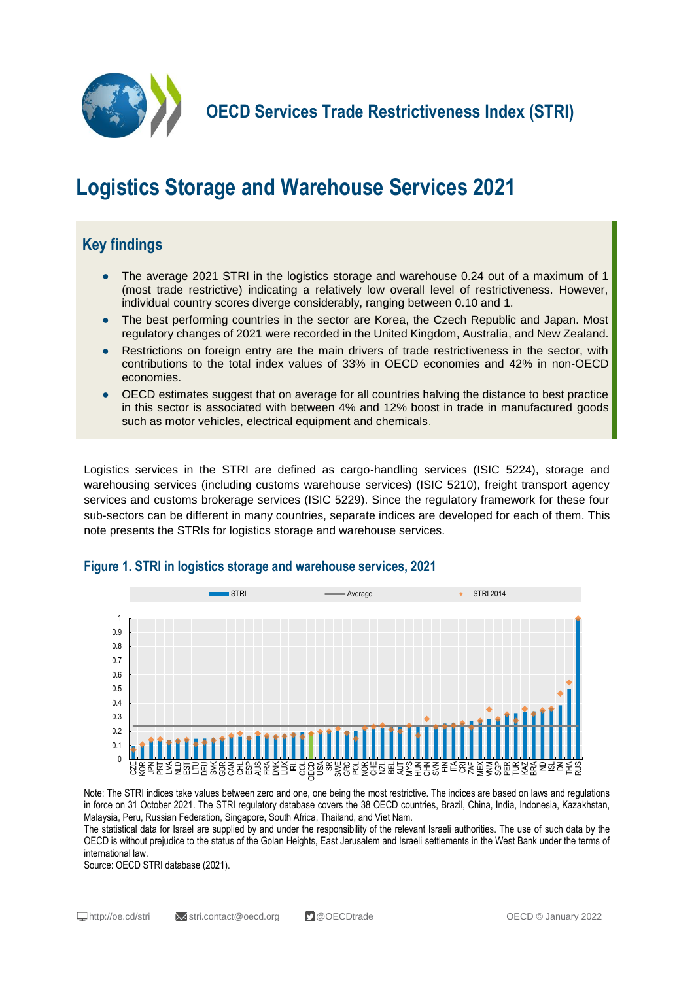

**OECD Services Trade Restrictiveness Index (STRI)**

# **Logistics Storage and Warehouse Services 2021**

## **Key findings**

- The average 2021 STRI in the logistics storage and warehouse 0.24 out of a maximum of 1 (most trade restrictive) indicating a relatively low overall level of restrictiveness. However, individual country scores diverge considerably, ranging between 0.10 and 1.
- The best performing countries in the sector are Korea, the Czech Republic and Japan. Most regulatory changes of 2021 were recorded in the United Kingdom, Australia, and New Zealand.
- Restrictions on foreign entry are the main drivers of trade restrictiveness in the sector, with contributions to the total index values of 33% in OECD economies and 42% in non-OECD economies.
- OECD estimates suggest that on average for all countries halving the distance to best practice in this sector is associated with between 4% and 12% boost in trade in manufactured goods such as motor vehicles, electrical equipment and chemicals.

Logistics services in the STRI are defined as cargo-handling services (ISIC 5224), storage and warehousing services (including customs warehouse services) (ISIC 5210), freight transport agency services and customs brokerage services (ISIC 5229). Since the regulatory framework for these four sub-sectors can be different in many countries, separate indices are developed for each of them. This note presents the STRIs for logistics storage and warehouse services.



#### **Figure 1. STRI in logistics storage and warehouse services, 2021**

Note: The STRI indices take values between zero and one, one being the most restrictive. The indices are based on laws and regulations in force on 31 October 2021. The STRI regulatory database covers the 38 OECD countries, Brazil, China, India, Indonesia, Kazakhstan, Malaysia, Peru, Russian Federation, Singapore, South Africa, Thailand, and Viet Nam.

The statistical data for Israel are supplied by and under the responsibility of the relevant Israeli authorities. The use of such data by the OECD is without prejudice to the status of the Golan Heights, East Jerusalem and Israeli settlements in the West Bank under the terms of international law.

Source: OECD STRI database (2021).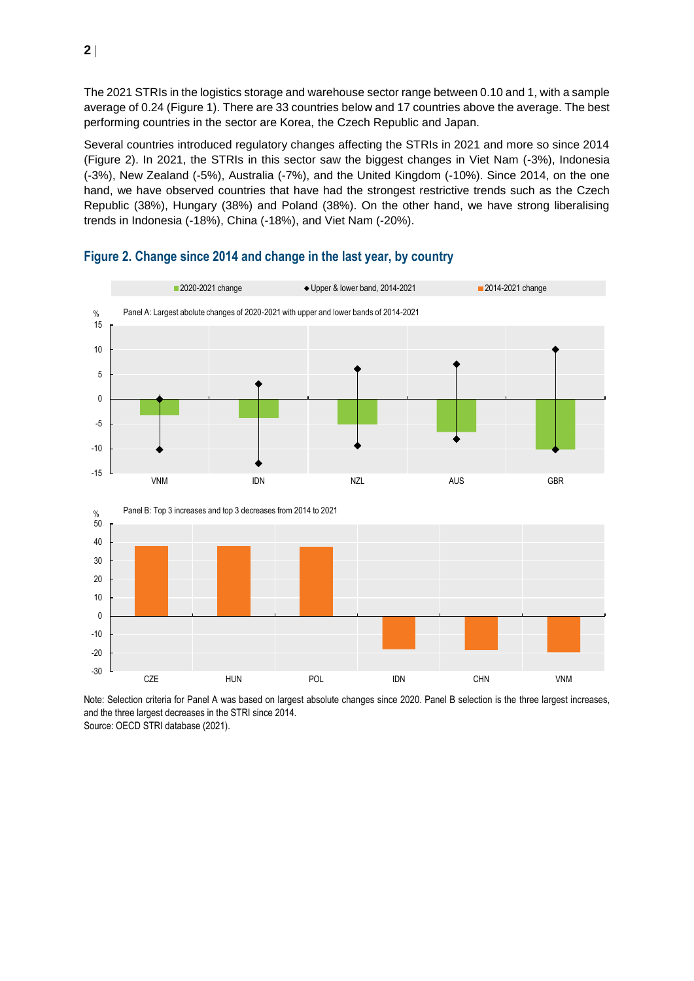The 2021 STRIs in the logistics storage and warehouse sector range between 0.10 and 1, with a sample average of 0.24 (Figure 1). There are 33 countries below and 17 countries above the average. The best performing countries in the sector are Korea, the Czech Republic and Japan.

Several countries introduced regulatory changes affecting the STRIs in 2021 and more so since 2014 (Figure 2). In 2021, the STRIs in this sector saw the biggest changes in Viet Nam (-3%), Indonesia (-3%), New Zealand (-5%), Australia (-7%), and the United Kingdom (-10%). Since 2014, on the one hand, we have observed countries that have had the strongest restrictive trends such as the Czech Republic (38%), Hungary (38%) and Poland (38%). On the other hand, we have strong liberalising trends in Indonesia (-18%), China (-18%), and Viet Nam (-20%).





Note: Selection criteria for Panel A was based on largest absolute changes since 2020. Panel B selection is the three largest increases, and the three largest decreases in the STRI since 2014. Source: OECD STRI database (2021).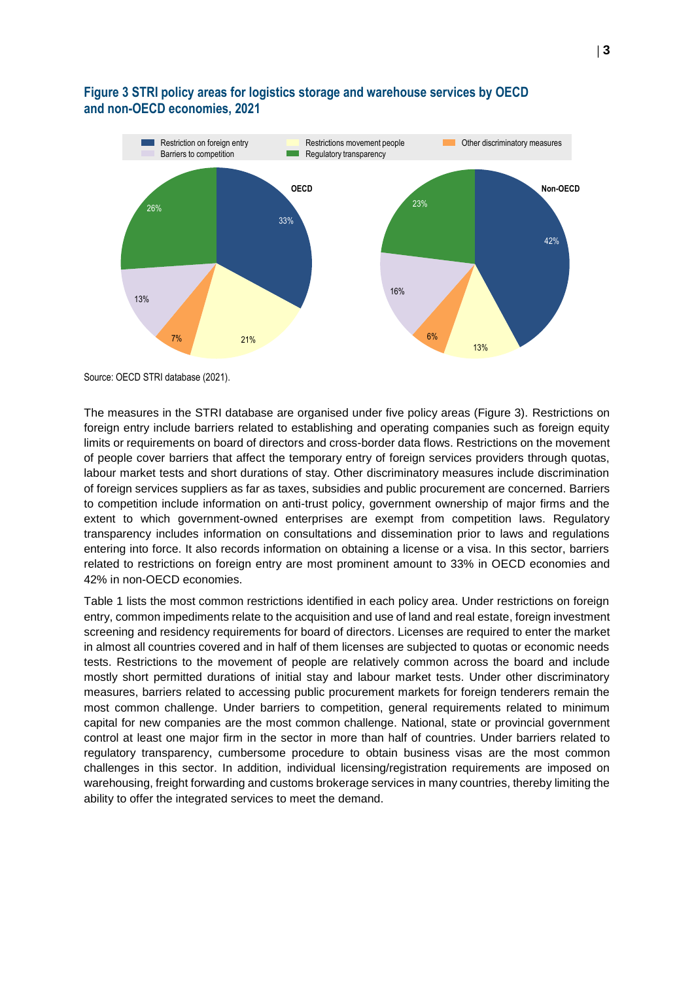

#### **Figure 3 STRI policy areas for logistics storage and warehouse services by OECD and non-OECD economies, 2021**

Source: OECD STRI database (2021).

The measures in the STRI database are organised under five policy areas (Figure 3). Restrictions on foreign entry include barriers related to establishing and operating companies such as foreign equity limits or requirements on board of directors and cross-border data flows. Restrictions on the movement of people cover barriers that affect the temporary entry of foreign services providers through quotas, labour market tests and short durations of stay. Other discriminatory measures include discrimination of foreign services suppliers as far as taxes, subsidies and public procurement are concerned. Barriers to competition include information on anti-trust policy, government ownership of major firms and the extent to which government-owned enterprises are exempt from competition laws. Regulatory transparency includes information on consultations and dissemination prior to laws and regulations entering into force. It also records information on obtaining a license or a visa. In this sector, barriers related to restrictions on foreign entry are most prominent amount to 33% in OECD economies and 42% in non-OECD economies.

Table 1 lists the most common restrictions identified in each policy area. Under restrictions on foreign entry, common impediments relate to the acquisition and use of land and real estate, foreign investment screening and residency requirements for board of directors. Licenses are required to enter the market in almost all countries covered and in half of them licenses are subjected to quotas or economic needs tests. Restrictions to the movement of people are relatively common across the board and include mostly short permitted durations of initial stay and labour market tests. Under other discriminatory measures, barriers related to accessing public procurement markets for foreign tenderers remain the most common challenge. Under barriers to competition, general requirements related to minimum capital for new companies are the most common challenge. National, state or provincial government control at least one major firm in the sector in more than half of countries. Under barriers related to regulatory transparency, cumbersome procedure to obtain business visas are the most common challenges in this sector. In addition, individual licensing/registration requirements are imposed on warehousing, freight forwarding and customs brokerage services in many countries, thereby limiting the ability to offer the integrated services to meet the demand.